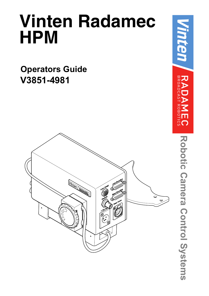# **Vinten Radamec HPM**

**Operators Guide V3851-4981**



**Robotic Camera Control Systems**

Robotic Camera Control Systems

*Vinten*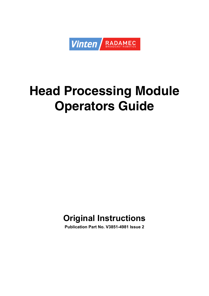

# <span id="page-2-0"></span>**Head Processing Module Operators Guide**

# **Original Instructions**

**Publication Part No. V3851-4981 Issue 2**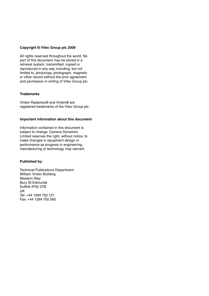### **Copyright © Vitec Group plc 2009**

All rights reserved throughout the world. No part of this document may be stored in a retrieval system. transmitted, copied or reproduced in any way including, but not limited to, photocopy, photograph, magnetic or other record without the prior agreement and permission in writing of Vitec Group plc.

### **Trademarks**

Vinten Radamec® and Vinten® are registered trademarks of the Vitec Group plc.

### **Important information about this document**

Information contained in this document is subject to change. Camera Dynamics Limited reserves the right, without notice, to make changes in equipment design or performance as progress in engineering, manufacturing or technology may warrant.

### **Published by:**

Technical Publications Department William Vinten Building Western Way Bury St Edmunds Suffolk IP33 3TB UK Tel: +44 1284 752 121 Fax: +44 1284 750 560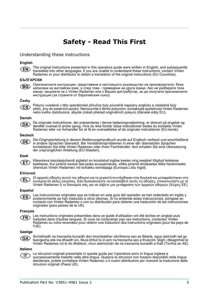# **Safety - Read This First**

### <span id="page-4-0"></span>Understanding these instructions

### **English**

The original instructions presented in this operators guide were written in English, and subsequently **EN** translated into other languages. If you are unable to understand these instructions, contact Vinten Radamec or your distributor to obtain a translation of the original instructions (EU Countries).

### **БЪЛГАРСКИ**

Оригиналните инструкции, представени в настоящото ръководство на производителя, бяха (BG) написани на английски език, а след това - преведени на други езици. Ако не разбирате тези езици, свържете се с Vinten Radamec или с Вашия дистрибутор, за да получите оригиналните инструкции (за страните от Европейския съюз).

### **Česky**

Pokyny uvedené v této operátorské příručce byly původně napsány anglicky a následně byly  $CS$ přelo\_eny do ostatních jazyků. Nerozumíte-li těmto pokynům, kontaktujte společnost Vinten Radamec nebo svého distributora, abyste získali překlad originálních pokynů (členské státy EU).

#### **Danish**



De originale instruktioner, der præsenteres i denne betjeningsvejledning, er skrevet på engelsk og derefter oversat til andre sprog. Hvis du ikke forstår disse instruktioner bedes du kontakte Vinten Radamec eller vor forhandler for at få en oversættelse af de originale instruktioner (EU-lande).

#### **Deutsch**

(DE)

Die Originalanleitung in diesem Bedienungshandbuch wurde auf Englisch verfasst und anschließend in andere Sprachen übersetzt. Bei Verständnisproblemen in einer der übersetzten Sprachen kontaktieren Sie bitte Vinten Radamec oder Ihren Fachhändler; dort erhalten Sie eine Übersetzung der ursprünglichen Anleitung (EU-Staaten).

### **Eesti**

Käesoleva kasutajajuhendi algtekst on koostatud inglise keeles ning seejärel tõlgitud teistesse (ET) keeltesse. Kui juhend osutub teie jaoks arusaamatuks, võtke juhendi emakeelse tõlke hankimiseks ühendust Vinten Radameci või kohaliku esindajaga (Euroopa Liidu riigid).

### **Ελληνικά**

Οι αρχικές οδηγίες αυτού του οδηγού για το χειριστή συντάχθηκαν στα Αγγλικά και μεταφράστηκαν στη **CEL** συνέχεια σε άλλες γλώσσες. Εάν δυσκολεύεστε να καταλάβετε αυτές τις οδηγίες, επικοινωνήστε με τη Vinten Radamec ή το διανομέα σας για να λάβετε μια μετάφραση των αρχικών οδηγιών (Χώρες ΕΕ).

### **Español**

Las instrucciones originales que se indican en esta guía del operador se han redactado en inglés y ES) posteriormente se han traducido a otros idiomas. Si no entiende estas instrucciones, póngase en contacto con Vinten Radamec o con su distribuidor para obtener una traducción de las instrucciones originales (para países de la UE).

### **Français**

Les instructions originales présentées dans ce guide d'utilisation ont été écrites en anglais puis (FR) traduites dans d'autres langues. Si vous ne comprenez pas ces instructions, contactez Vinten Radamec ou votre revendeur pour obtenir une traduction des instructions originales (pour les pays de l'UE).

### **Gaeilge**

Scríobhadh na treoracha bunaidh don treoirleabhar oibritheora seo as Béarla, agus aistríodh iad go  $(GA)$ teangacha eile ina dhiaidh sin. Mura bhfuil tú in ann na treoracha seo a thuiscint, téigh i dteagmháil le Vinten Radamec nó le do dháileoir, chun aistriúchán de na treoracha bunaidh a fháil (Tíortha an AE).

### **Italiano**

Le istruzioni originali presentate in questa guida per l'operatore sono in lingua inglese e  $(T)$ successivamente tradotte nelle altre lingue. Qualora le istruzioni non fossero disponibili nella lingua desiderata, potete contattare Vinten Radamec o il vostro distributore per ricevere la traduzione delle istruzioni originali (Paesi UE).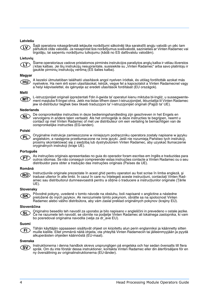### **Latviešu**



Šajā operatora rokasgrāmatā iekļautie norādījumi sākotnēji tika sarakstīti angļu valodā un pēc tam pārtulkoti citās valodās. Ja nesaprotat šos norādījumus svešvalodā, sazinieties ar Vinten Radamec vai tirgotāju, lai saņemtu norādījumu tulkojumu (kādā no ES dalībvalstu valodām).

#### **Lietuvių**



Šiame operatoriaus vadove pristatomos pirminės instrukcijos parašytos anglų kalba ir vėliau išverstos į kitas kalbas. Jei šių instrukcijų nesuprantate, susisiekite su "Vinten Radamec" arba savo platintoju ir gaukite pirminių instrukcijų vertimą (ES šalies kalba).

#### **Magyar**



A kezeloi útmutatóban található utasítások angol nyelven íródtak, és utólag fordították azokat más nyelvekre. Ha nem érti ezen utasításokat, kérjük, vegye fel a kapcsolatot a Vinten Radamecnel vagy a helyi képviselettel, és igényelje az eredeti utasítások fordítását (EU országok).

#### **Malti**

L-istruzzjonijiet originali ippreżentati f'din il-gwida ta' operaturi kienu miktuba bl-Ingliż, u sussegwente- $(MT)$ ment maqluba fl-lingwi ohra. Jekk ma tistax tifhem dawn l-istruzzjonijiet, ikkuntattja lil Vinten Radamec jew id-distributur tieghek biex tikseb traduzzjoni ta' l-istruzzjonijiet originali (Pajjiżi ta' UE).

#### **Nederlands**

De oorspronkelijke instructies in deze bedieningshandleiding zijn geschreven in het Engels en **CNL** vervolgens in andere talen vertaald. Als het onmogelijk is deze instructies te begrijpen, neemt u contact op met Vinten Radamec of met uw distributeur om een vertaling te bemachtigen van de oorspronkelijke instructies (EG-landen).

### **Polski**

(PL)

Oryginalne instrukcje zamieszczone w niniejszym podręczniku operatora zostały napisane w języku angielskim, a następnie przetłumaczone na inne języki. Jeśli nie rozumieją Państwo tych instrukcji, prosimy skontaktować się z siedzibą lub dystrybutorem Vinten Radamec, aby uzyskać tłumaczenie oryginalnych instrukcji (kraje UE).

### **Português**

As instruções originais apresentadas no guia do operador foram escritas em Inglês e traduzidas para outros idiomas. Se não conseguir compreender estas instruções contacte a Vinten Radamec ou o seu distribuidor para obter a tradução das instruções originais (Países da UE).

### **Română**

ʹΡΤ

Instrucțiunile originale prezentate în acest ghid pentru operatori au fost scrise în limba engleză, și (RO) traduse ulterior în alte limbi. În cazul în care nu înţelegeţi aceste instrucţiuni, contactaţi Vinten Radamec sau distribuitorul dumneavoastră pentru a obține o traducere a instrucțiunilor originale (Țările UE).

#### **Slovensky**

Pôvodné pokyny, uvedené v tomto návode na obsluhu, boli napísané v anglictine a následne (SK) preložené do iných jazykov. Ak nerozumiete týmto pokynom, obrátte sa na spolocnost Vinten Radamec alebo vášho distribútora, aby vám zaslal preklad originálnych pokynov (krajiny EÚ).

#### **Slovenščina**

Originalno besedilo teh navodil za uporabo je bilo napisano v angleščini in prevedeno v ostale jezike. ์SL Če ne razumete teh navodil, se obrnite na podjetje Vinten Radamec ali lokalnega zastopnika, ki vam bo posredoval originalna navodila (velja za dr ave EU).

### **Suomi**



Tähän käyttäjän oppaaseen sisältyvät ohjeet on kirjoitettu alun perin englanniksi ja käännetty sitten muille kielille. Ellet ymmärrä näitä ohjeita, ota yhteyttä Vinten Radameciin tai jälleenmyyjään ja pyydä alkuperäisten ohjeiden käännöstä (EU-maat).

#### **Svenska**



Instruktionerna i denna handbok skrevs ursprungligen på engelska och har sedan översatts till flera språk. Om du inte förstår dessa instruktioner, kontakta Vinten Radamec eller din återförsäljare för en ny översättning av originalinstruktionerna (EU-länder).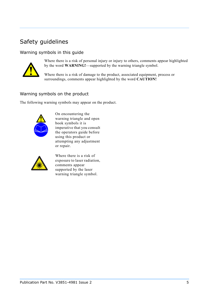# <span id="page-6-0"></span>Safety guidelines

### Warning symbols in this guide



Where there is a risk of personal injury or injury to others, comments appear highlighted by the word **WARNING!**—supported by the warning triangle symbol.

Where there is a risk of damage to the product, associated equipment, process or surroundings, comments appear highlighted by the word **CAUTION!**

### Warning symbols on the product

The following warning symbols may appear on the product.



On encountering the warning triangle and open book symbols it is imperative that you consult the operators guide before using this product or attempting any adjustment or repair.



Where there is a risk of exposure to laser radiation, comments appear supported by the laser warning triangle symbol.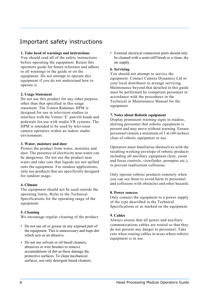# <span id="page-7-0"></span>Important safety instructions

### **1. Take heed of warnings and instructions**

You should read all of the safety instructions before operating the equipment. Retain this operators guide for future reference and adhere to all warnings in the guide or on the equipment. Do not attempt to operate this equipment if you do not understand how to operate it.

### **2. Usage Statement**

Do not use this product for any other purpose other than that specified in this usage statement. The Vinten Radamec HPM is designed for use in television studios to interface with the Vinten 'E' pan/tilt heads and pedestals for use with studio VR systems. The HPM is intended to be used by television camera operators within an indoor studio environment.

### **3. Water, moisture and dust**

Protect the product from water, moisture and dust. The presence of electricity near water can be dangerous. Do not use the product near water and take care that liquids are not spilled onto the equipment. For outdoor applications, only use products that are specifically designed for outdoor usage.

### **4. Climate**

The equipment should not be used outside the operating limits. Refer to the Technical Specifications for the operating range of the equipment.

### **5. Cleaning**

We encourage regular cleaning of the product.

- Do not use oil or grease on any exposed part of the equipment. This is unnecessary and traps dirt which acts as an abrasive.
- Do not use solvent or oil based cleaners, abrasives or wire brushes to remove accumulations of dirt as these damage the protective surfaces. To clean mechanical surfaces, use only detergent based cleaners.

• External electrical connection ports should only be cleaned with a semi-stiff brush or a clean, dry air supply.

### **6. Servicing**

You should not attempt to service the equipment. Contact Camera Dynamics Ltd or your local distributor to arrange servicing. Maintenance beyond that detailed in this guide must be performed by competent personnel in accordance with the procedures in the Technical or Maintenance Manual for the equipment.

### **7. Notes about Robotic equipment**

Display prominent warning signs in studios, alerting personnel that robotic equipment is present and may move without warning. Ensure personnel remain a minimum of 1 m (40 inches) clear of robotic equipment in use.

Operators must familiarise themselves with the resulting working envelope of robotic products including all ancillary equipment (lens, zoom and focus controls, viewfinder, prompter etc.), to prevent inadvertent collisions.

Only operate robotic products remotely when you can see them to avoid harm to personnel and collisions with obstacles and other hazards.

### **8. Power sources**

Only connect the equipment to a power supply of the type described in the Technical Specifications or as marked on the equipment.

### **9. Cables**

Always ensure that all power and auxiliary communications cables are routed so that they do not present any danger to personnel. Take care when routing cables in areas where robotic equipment is in use.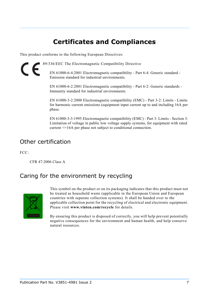# **Certificates and Compliances**

<span id="page-8-0"></span>This product conforms to the following European Directives:

89/336/EEC The Electromagnetic Compatibility Directive

EN 61000-6-4:2001 Electromagnetic compatibility - Part 6-4: Generic standard - Emission standard for industrial environments.

EN 61000-6-2:2001 Electromagnetic compatibility - Part 6-2: Generic standards - Immunity standard for industrial environments.

EN 61000-3-2:2000 Electromagnetic compatibility (EMC) - Part 3-2: Limits - Limits for harmonic current emissions (equipment input current up to and including 16A per phase.

EN 61000-3-3:1995 Electromagnetic compatibility (EMC) - Part 3: Limits - Section 3: Limitation of voltage in public low voltage supply systems, for equipment with rated current <=16A per phase not subject to conditional connection.

## Other certification

FCC:

 $\epsilon$ 

CFR 47:2006 Class A

## <span id="page-8-1"></span>Caring for the environment by recycling



This symbol on the product or on its packaging indicates that this product must not be treated as household waste (applicable in the European Union and European countries with separate collection systems). It shall be handed over to the applicable collection point for the recycling of electrical and electronic equipment. Please visit **www.vinten.com/recycle** for details.

By ensuring this product is disposed of correctly, you will help prevent potentially negative consequences for the environment and human health, and help conserve natural resources.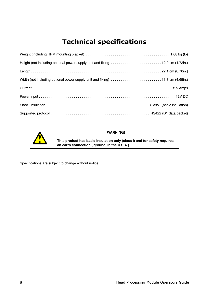# **Technical specifications**

<span id="page-9-0"></span>

| Height (not including optional power supply unit and fixing 12.0 cm (4.72in.) |  |
|-------------------------------------------------------------------------------|--|
|                                                                               |  |
| Width (not including optional power supply unit and fixing) 11.8 cm (4.65in.) |  |
|                                                                               |  |
|                                                                               |  |
|                                                                               |  |
|                                                                               |  |



**WARNING!**

**This product has basic insulation only (class I) and for safety requires an earth connection ('ground' in the U.S.A.).**

Specifications are subject to change without notice.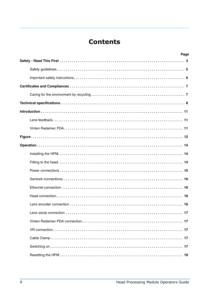# **Contents**

| Page |
|------|
|      |
|      |
|      |
|      |
|      |
|      |
|      |
|      |
|      |
|      |
|      |
|      |
|      |
|      |
|      |
|      |
|      |
|      |
|      |
|      |
|      |
|      |
|      |
|      |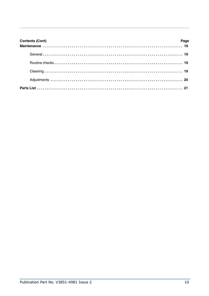| <b>Contents (Cont)</b> | Page |
|------------------------|------|
|                        |      |
|                        |      |
|                        |      |
|                        |      |
|                        |      |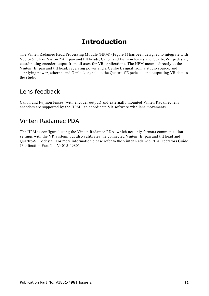# **Introduction**

<span id="page-12-0"></span>The Vinten Radamec Head Processing Module (HPM) [\(Figure 1\)](#page-13-1) has been designed to integrate with Vector 950E or Vision 250E pan and tilt heads, Canon and Fujinon lenses and Quattro-SE pedestal, coordinating encoder output from all axes for VR applications. The HPM mounts directly to the Vinten 'E' pan and tilt head, receiving power and a Genlock signal from a studio source, and supplying power, ethernet and Genlock signals to the Quattro-SE pedestal and outputting VR data to the studio.

# <span id="page-12-1"></span>Lens feedback

Canon and Fujinon lenses (with encoder output) and externally mounted Vinten Radamec lens encoders are supported by the HPM—to coordinate VR software with lens movements.

# <span id="page-12-2"></span>Vinten Radamec PDA

The HPM is configured using the Vinten Radamec PDA, which not only formats communication settings with the VR system, but also calibrates the connected Vinten 'E' pan and tilt head and Quattro-SE pedestal. For more information please refer to the Vinten Radamec PDA Operators Guide (Publication Part No. V4015-4980).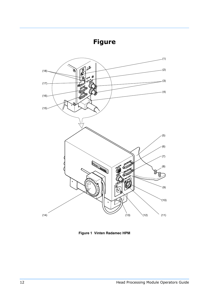# **Figure**

<span id="page-13-0"></span>

<span id="page-13-1"></span>**Figure 1 Vinten Radamec HPM**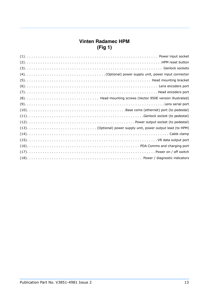### **Vinten Radamec HPM (Fig 1)**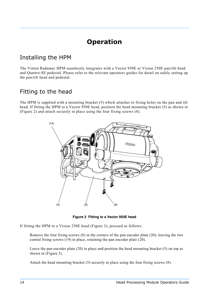# **Operation**

# <span id="page-15-1"></span><span id="page-15-0"></span>Installing the HPM

The Vinten Radamec HPM seamlessly integrates with a Vector 950E or Vision 250E pan/tilt head and Quattro-SE pedestal. Please refer to the relevant operators guides for detail on safely setting up the pan/tilt head and pedestal.

# <span id="page-15-2"></span>Fitting to the head

The HPM is supplied with a mounting bracket (5) which attaches to fixing holes on the pan and tilt head. If fitting the HPM to a Vector 950E head, position the head mounting bracket (5) as shown in [\(Figure 2\)](#page-15-3) and attach securely in place using the four fixing screws (8).



**Figure 2 Fitting to a Vector 950E head**

<span id="page-15-3"></span>If fitting the HPM to a Vision 250E head [\(Figure 3\)](#page-16-1), proceed as follows:

Remove the four fixing screws (8) in the corners of the pan encoder plate (20), leaving the two central fixing screws (19) in place, retaining the pan encoder plate (20).

Leave the pan encoder plate (20) in place and position the head mounting bracket (5) on top as shown in [\(Figure 3\)](#page-16-1).

Attach the head mounting bracket (5) securely in place using the four fixing screws (8).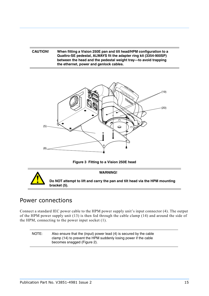### **CAUTION! When fitting a Vision 250E pan and tilt head/HPM configuration to a Quattro-SE pedestal, ALWAYS fit the adapter ring kit (3354-900SP) between the head and the pedestal weight tray—to avoid trapping the ethernet, power and genlock cables.**



**Figure 3 Fitting to a Vision 250E head**

<span id="page-16-1"></span>

### <span id="page-16-0"></span>Power connections

Connect a standard IEC power cable to the HPM power supply unit's input connector (4). The output of the HPM power supply unit (13) is then fed through the cable clamp (14) and around the side of the HPM, connecting to the power input socket (1).

NOTE: Also ensure that the (input) power lead (4) is secured by the cable clamp (14) to prevent the HPM suddenly losing power if the cable becomes snagged [\(Figure 2\)](#page-15-3).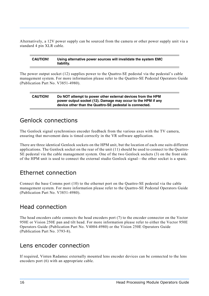Alternatively, a 12V power supply can be sourced from the camera or other power supply unit via a standard 4 pin XLR cable.

### **CAUTION! Using alternative power sources will invalidate the system EMC liability.**

The power output socket (12) supplies power to the Quattro-SE pedestal via the pedestal's cable management system. For more information please refer to the Quattro-SE Pedestal Operators Guide (Publication Part No. V3851-4980).

### **CAUTION! Do NOT attempt to power other external devices from the HPM power output socket (12). Damage may occur to the HPM if any device other than the Quattro-SE pedestal is connected.**

### <span id="page-17-0"></span>Genlock connections

The Genlock signal synchronises encoder feedback from the various axes with the TV camera, ensuring that movement data is timed correctly in the VR software application.

There are three identical Genlock sockets on the HPM unit, but the location of each one suits different applications. The Genlock socket on the rear of the unit (11) should be used to connect to the Quattro-SE pedestal via the cable management system. One of the two Genlock sockets (3) on the front side of the HPM unit is used to connect the external studio Genlock signal—the other socket is a spare.

## <span id="page-17-3"></span>Ethernet connection

Connect the base Comms port (10) to the ethernet port on the Quattro-SE pedestal via the cable management system. For more information please refer to the Quattro-SE Pedestal Operators Guide (Publication Part No. V3851-4980).

## <span id="page-17-1"></span>Head connection

The head encoders cable connects the head encoders port (7) to the encoder connector on the Vector 950E or Vision 250E pan and tilt head. For more information please refer to either the Vector 950E Operators Guide (Publication Part No. V4004-4980) or the Vision 250E Operators Guide (Publication Part No. 3793-8).

## <span id="page-17-2"></span>Lens encoder connection

If required, Vinten Radamec externally mounted lens encoder devices can be connected to the lens encoders port (6) with an appropriate cable.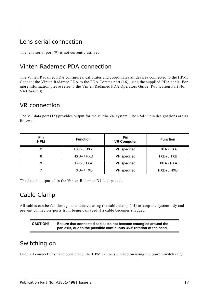# <span id="page-18-1"></span>Lens serial connection

The lens serial port (9) is not currently utilized.

# <span id="page-18-2"></span>Vinten Radamec PDA connection

The Vinten Radamec PDA configures, calibrates and coordinates all devices connected to the HPM. Connect the Vinten Radamec PDA to the PDA Comms port (16) using the supplied PDA cable. For more information please refer to the Vinten Radamec PDA Operators Guide (Publication Part No. V4015-4980).

# <span id="page-18-3"></span>VR connection

The VR data port (15) provides output for the studio VR system. The RS422 pin designations are as follows:

| <b>Pin</b><br><b>HPM</b> | <b>Function</b> | Pin<br><b>VR Computer</b> | <b>Function</b> |
|--------------------------|-----------------|---------------------------|-----------------|
| 2                        | RXD- / RXA      | VR specified              | TXD-/TXA        |
| 6                        | $RXD+ / RXB$    | VR specified              | $TXD+ / TXB$    |
| 3                        | TXD-/TXA        | VR specified              | RXD- / RXA      |
|                          | $TXD+ / TXB$    | VR specified              | $RXD+ / RXB$    |

The data is outputted in the Vinten Radamec D1 data packet.

## <span id="page-18-4"></span>Cable Clamp

All cables can be fed through and secured using the cable clamp (14) to keep the system tidy and prevent connectors/ports from being damaged if a cable becomes snagged.

### **CAUTION! Ensure that connected cables do not become entangled around the pan axis, due to the possible continuous 360° rotation of the head.**

## <span id="page-18-0"></span>Switching on

Once all connections have been made, the HPM can be switched on using the power switch (17).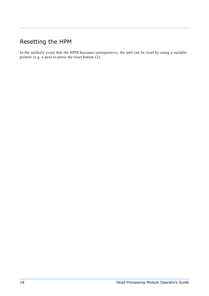# <span id="page-19-0"></span>Resetting the HPM

In the unlikely event that the HPM becomes unresponsive, the unit can be reset by using a suitable pointer (e.g. a pen) to press the reset button (2).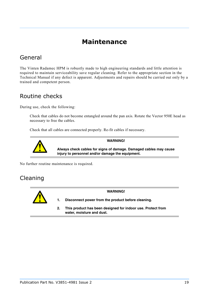# **Maintenance**

# <span id="page-20-1"></span><span id="page-20-0"></span>General

The Vinten Radamec HPM is robustly made to high engineering standards and little attention is required to maintain serviceability save regular cleaning. Refer to the appropriate section in the Technical Manual if any defect is apparent. Adjustments and repairs should be carried out only by a trained and competent person.

## <span id="page-20-2"></span>Routine checks

During use, check the following:

Check that cables do not become entangled around the pan axis. Rotate the Vector 950E head as necessary to free the cables.

Check that all cables are connected properly. Re-fit cables if necessary.



**Always check cables for signs of damage. Damaged cables may cause injury to personnel and/or damage the equipment.**

**WARNING!**

No further routine maintenance is required.

## <span id="page-20-3"></span>Cleaning



**WARNING!**

**1. Disconnect power from the product before cleaning.**

**2. This product has been designed for indoor use. Protect from water, moisture and dust.**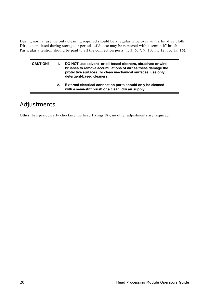During normal use the only cleaning required should be a regular wipe over with a lint-free cloth. Dirt accumulated during storage or periods of disuse may be removed with a semi-stiff brush. Particular attention should be paid to all the connection ports (1, 3, 6, 7, 9, 10, 11, 12, 13, 15, 16).

| <b>CAUTION!</b> | DO NOT use solvent- or oil-based cleaners, abrasives or wire<br>brushes to remove accumulations of dirt as these damage the<br>protective surfaces. To clean mechanical surfaces, use only<br>detergent-based cleaners. |
|-----------------|-------------------------------------------------------------------------------------------------------------------------------------------------------------------------------------------------------------------------|
|                 | External electrical connection ports should only be cleaned                                                                                                                                                             |

### **2. External electrical connection ports should only be cleaned with a semi-stiff brush or a clean, dry air supply.**

# <span id="page-21-0"></span>Adjustments

Other than periodically checking the head fixings (8), no other adjustments are required.